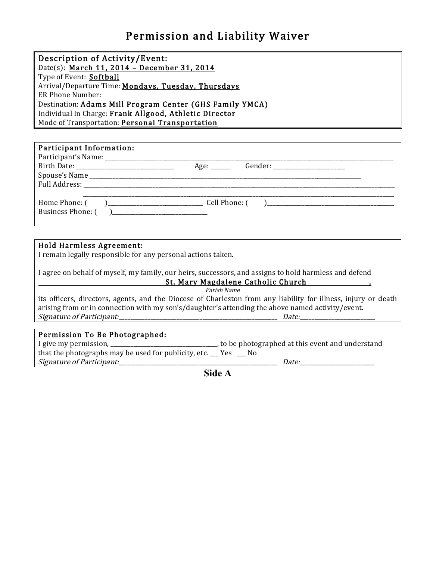## Permission and Liability Waiver

| Description of Activity/Event:                           |
|----------------------------------------------------------|
| Date(s): March 11, 2014 - December 31, 2014              |
| Type of Event: Softball                                  |
| Arrival/Departure Time: Mondays, Tuesday, Thursdays      |
| ER Phone Number:                                         |
| Destination: Adams Mill Program Center (GHS Family YMCA) |
| Individual In Charge: Frank Allgood, Athletic Director   |
| Mode of Transportation: <b>Personal Transportation</b>   |

| Participant Information: |                                           |  |
|--------------------------|-------------------------------------------|--|
|                          | Gender: _________________________<br>Age: |  |
|                          |                                           |  |
|                          |                                           |  |
|                          |                                           |  |
| Business Phone: ()       |                                           |  |

## Hold Harmless Agreement:

I remain legally responsible for any personal actions taken.

I agree on behalf of myself, my family, our heirs, successors, and assigns to hold harmless and defend St.!Mary!Magdalene!Catholic!Church! ! ! ,

Parish Name

its officers, directors, agents, and the Diocese of Charleston from any liability for illness, injury or death arising from or in connection with my son's/daughter's attending the above named activity/event. Signature'of'Participant:\_\_\_\_\_\_\_\_\_\_\_\_\_\_\_\_\_\_\_\_\_\_\_\_\_\_\_\_\_\_\_\_\_\_\_\_\_\_\_\_\_\_\_\_\_\_\_\_\_\_\_\_\_\_\_'''Date:\_\_\_\_\_\_\_\_\_\_\_\_\_\_\_\_\_\_\_\_\_\_\_\_\_\_

## Permission To Be Photographed:

| I give my permission,                                       | , to be photographed at this event and understand |
|-------------------------------------------------------------|---------------------------------------------------|
| that the photographs may be used for publicity, etc. __ Yes |                                                   |
| Signature of Participant:                                   | <i>Date:</i>                                      |

**Side A**